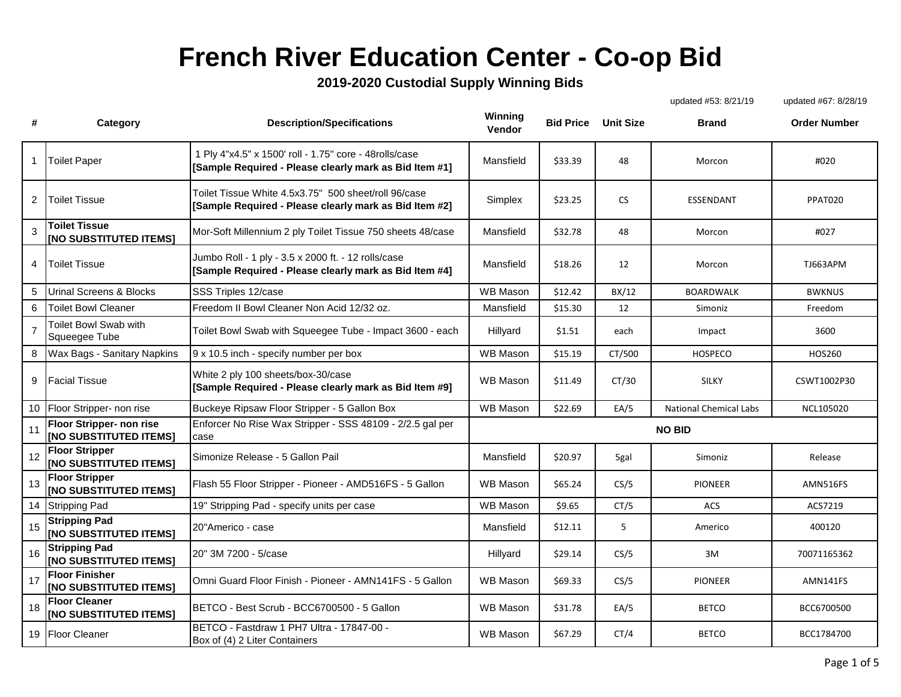## **French River Education Center - Co-op Bid**

## **2019-2020 Custodial Supply Winning Bids**

|                |                                                           |                                                                                                                  |                   |                  |           | updated #53: 8/21/19          | updated #67: 8/28/19 |
|----------------|-----------------------------------------------------------|------------------------------------------------------------------------------------------------------------------|-------------------|------------------|-----------|-------------------------------|----------------------|
| #              | Category                                                  | <b>Description/Specifications</b>                                                                                | Winning<br>Vendor | <b>Bid Price</b> | Unit Size | <b>Brand</b>                  | <b>Order Number</b>  |
|                | <b>Toilet Paper</b>                                       | 1 Ply 4"x4.5" x 1500' roll - 1.75" core - 48rolls/case<br>[Sample Required - Please clearly mark as Bid Item #1] | Mansfield         | \$33.39          | 48        | Morcon                        | #020                 |
| 2              | <b>Toilet Tissue</b>                                      | Toilet Tissue White 4.5x3.75" 500 sheet/roll 96/case<br>[Sample Required - Please clearly mark as Bid Item #2]   | Simplex           | \$23.25          | <b>CS</b> | ESSENDANT                     | PPAT020              |
| 3              | <b>Toilet Tissue</b><br><b>[NO SUBSTITUTED ITEMS]</b>     | Mor-Soft Millennium 2 ply Toilet Tissue 750 sheets 48/case                                                       | Mansfield         | \$32.78          | 48        | Morcon                        | #027                 |
| 4              | <b>Toilet Tissue</b>                                      | Jumbo Roll - 1 ply - 3.5 x 2000 ft. - 12 rolls/case<br>[Sample Required - Please clearly mark as Bid Item #4]    | Mansfield         | \$18.26          | 12        | Morcon                        | TJ663APM             |
| 5              | <b>Urinal Screens &amp; Blocks</b>                        | SSS Triples 12/case                                                                                              | <b>WB Mason</b>   | \$12.42          | BX/12     | <b>BOARDWALK</b>              | <b>BWKNUS</b>        |
| 6              | <b>Toilet Bowl Cleaner</b>                                | Freedom II Bowl Cleaner Non Acid 12/32 oz.                                                                       | Mansfield         | \$15.30          | 12        | Simoniz                       | Freedom              |
| $\overline{7}$ | Toilet Bowl Swab with<br>Squeegee Tube                    | Toilet Bowl Swab with Squeegee Tube - Impact 3600 - each                                                         | Hillyard          | \$1.51           | each      | Impact                        | 3600                 |
| 8              | Wax Bags - Sanitary Napkins                               | 9 x 10.5 inch - specify number per box                                                                           | <b>WB Mason</b>   | \$15.19          | CT/500    | <b>HOSPECO</b>                | HOS260               |
| 9              | <b>Facial Tissue</b>                                      | White 2 ply 100 sheets/box-30/case<br>[Sample Required - Please clearly mark as Bid Item #9]                     | WB Mason          | \$11.49          | CT/30     | <b>SILKY</b>                  | CSWT1002P30          |
| 10             | Floor Stripper- non rise                                  | Buckeye Ripsaw Floor Stripper - 5 Gallon Box                                                                     | <b>WB Mason</b>   | \$22.69          | EA/5      | <b>National Chemical Labs</b> | NCL105020            |
| 11             | Floor Stripper- non rise<br><b>INO SUBSTITUTED ITEMS]</b> | Enforcer No Rise Wax Stripper - SSS 48109 - 2/2.5 gal per<br>case                                                |                   |                  |           | <b>NO BID</b>                 |                      |
| 12             | <b>Floor Stripper</b><br>[NO SUBSTITUTED ITEMS]           | Simonize Release - 5 Gallon Pail                                                                                 | Mansfield         | \$20.97          | 5gal      | Simoniz                       | Release              |
| 13             | <b>Floor Stripper</b><br><b>[NO SUBSTITUTED ITEMS]</b>    | Flash 55 Floor Stripper - Pioneer - AMD516FS - 5 Gallon                                                          | WB Mason          | \$65.24          | CS/5      | <b>PIONEER</b>                | AMN516FS             |
| 14             | <b>Stripping Pad</b>                                      | 19" Stripping Pad - specify units per case                                                                       | <b>WB Mason</b>   | \$9.65           | CT/5      | <b>ACS</b>                    | ACS7219              |
| 15             | <b>Stripping Pad</b><br><b>[NO SUBSTITUTED ITEMS]</b>     | 20"Americo - case                                                                                                | Mansfield         | \$12.11          | 5         | Americo                       | 400120               |
| 16             | <b>Stripping Pad</b><br><b>[NO SUBSTITUTED ITEMS]</b>     | 20" 3M 7200 - 5/case                                                                                             | Hillyard          | \$29.14          | CS/5      | 3M                            | 70071165362          |
| 17             | <b>Floor Finisher</b><br><b>[NO SUBSTITUTED ITEMS]</b>    | Omni Guard Floor Finish - Pioneer - AMN141FS - 5 Gallon                                                          | WB Mason          | \$69.33          | CS/5      | <b>PIONEER</b>                | AMN141FS             |
| 18             | <b>Floor Cleaner</b><br><b>INO SUBSTITUTED ITEMSI</b>     | BETCO - Best Scrub - BCC6700500 - 5 Gallon                                                                       | <b>WB Mason</b>   | \$31.78          | EA/5      | <b>BETCO</b>                  | BCC6700500           |
| 19             | <b>Floor Cleaner</b>                                      | BETCO - Fastdraw 1 PH7 Ultra - 17847-00 -<br>Box of (4) 2 Liter Containers                                       | <b>WB Mason</b>   | \$67.29          | CT/4      | <b>BETCO</b>                  | BCC1784700           |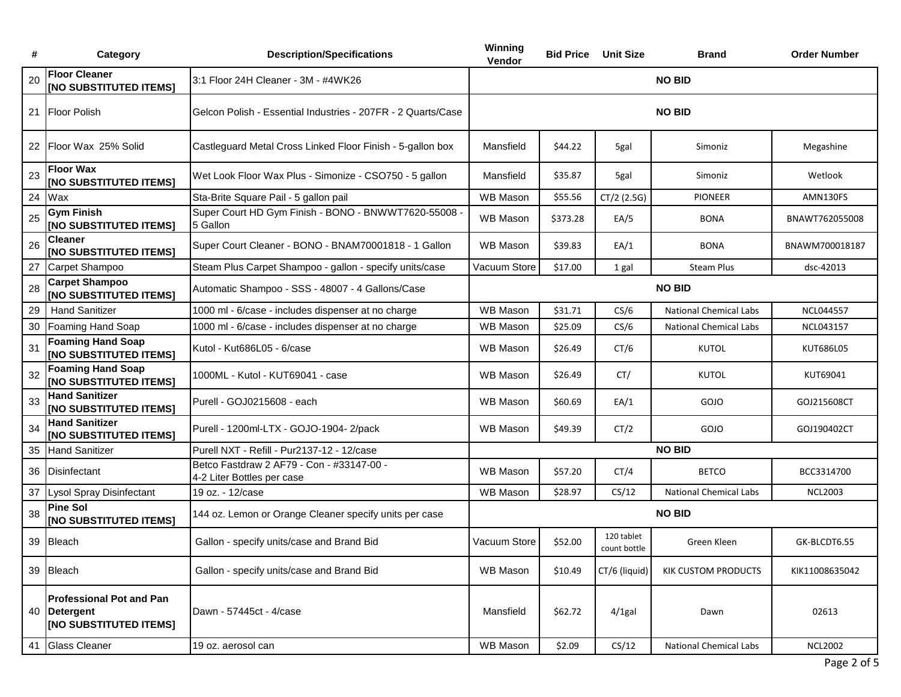| #  | Category                                                                         | <b>Description/Specifications</b>                                       | Winning<br>Vendor |          | <b>Bid Price Unit Size</b> | Brand                         | <b>Order Number</b> |  |
|----|----------------------------------------------------------------------------------|-------------------------------------------------------------------------|-------------------|----------|----------------------------|-------------------------------|---------------------|--|
| 20 | <b>Floor Cleaner</b><br><b>[NO SUBSTITUTED ITEMS]</b>                            | 3:1 Floor 24H Cleaner - 3M - #4WK26                                     |                   |          |                            | <b>NO BID</b>                 |                     |  |
|    | 21 Floor Polish                                                                  | Gelcon Polish - Essential Industries - 207FR - 2 Quarts/Case            |                   |          |                            | <b>NO BID</b>                 |                     |  |
|    | 22 Floor Wax 25% Solid                                                           | Castleguard Metal Cross Linked Floor Finish - 5-gallon box              | Mansfield         | \$44.22  | 5gal                       | Simoniz                       | Megashine           |  |
| 23 | <b>Floor Wax</b><br><b>INO SUBSTITUTED ITEMS!</b>                                | Wet Look Floor Wax Plus - Simonize - CSO750 - 5 gallon                  | Mansfield         | \$35.87  | 5gal                       | Simoniz                       | Wetlook             |  |
|    | 24 Wax                                                                           | Sta-Brite Square Pail - 5 gallon pail                                   | <b>WB Mason</b>   | \$55.56  | $CT/2$ (2.5G)              | PIONEER                       | AMN130FS            |  |
| 25 | <b>Gym Finish</b><br>[NO SUBSTITUTED ITEMS]                                      | Super Court HD Gym Finish - BONO - BNWWT7620-55008 -<br>5 Gallon        | <b>WB Mason</b>   | \$373.28 | EA/5                       | <b>BONA</b>                   | BNAWT762055008      |  |
| 26 | <b>Cleaner</b><br><b>[NO SUBSTITUTED ITEMS]</b>                                  | Super Court Cleaner - BONO - BNAM70001818 - 1 Gallon                    | <b>WB Mason</b>   | \$39.83  | EA/1                       | <b>BONA</b>                   | BNAWM700018187      |  |
| 27 | Carpet Shampoo                                                                   | Steam Plus Carpet Shampoo - gallon - specify units/case                 | Vacuum Store      | \$17.00  | 1 gal                      | <b>Steam Plus</b>             | dsc-42013           |  |
| 28 | <b>Carpet Shampoo</b><br><b>[NO SUBSTITUTED ITEMS]</b>                           | Automatic Shampoo - SSS - 48007 - 4 Gallons/Case                        | <b>NO BID</b>     |          |                            |                               |                     |  |
| 29 | <b>Hand Sanitizer</b>                                                            | 1000 ml - 6/case - includes dispenser at no charge                      | <b>WB Mason</b>   | \$31.71  | CS/6                       | <b>National Chemical Labs</b> | <b>NCL044557</b>    |  |
| 30 | Foaming Hand Soap                                                                | 1000 ml - 6/case - includes dispenser at no charge                      | <b>WB Mason</b>   | \$25.09  | CS/6                       | <b>National Chemical Labs</b> | NCL043157           |  |
| 31 | <b>Foaming Hand Soap</b><br>[NO SUBSTITUTED ITEMS]                               | Kutol - Kut686L05 - 6/case                                              | WB Mason          | \$26.49  | CT/6                       | <b>KUTOL</b>                  | KUT686L05           |  |
| 32 | <b>Foaming Hand Soap</b><br>[NO SUBSTITUTED ITEMS]                               | 1000ML - Kutol - KUT69041 - case                                        | WB Mason          | \$26.49  | CT/                        | <b>KUTOL</b>                  | KUT69041            |  |
| 33 | <b>Hand Sanitizer</b><br>[NO SUBSTITUTED ITEMS]                                  | Purell - GOJ0215608 - each                                              | WB Mason          | \$60.69  | EA/1                       | GOJO                          | GOJ215608CT         |  |
| 34 | <b>Hand Sanitizer</b><br>[NO SUBSTITUTED ITEMS]                                  | Purell - 1200ml-LTX - GOJO-1904- 2/pack                                 | <b>WB Mason</b>   | \$49.39  | CT/2                       | GOJO                          | GOJ190402CT         |  |
|    | 35 Hand Sanitizer                                                                | Purell NXT - Refill - Pur2137-12 - 12/case                              | <b>NO BID</b>     |          |                            |                               |                     |  |
| 36 | <b>IDisinfectant</b>                                                             | Betco Fastdraw 2 AF79 - Con - #33147-00 -<br>4-2 Liter Bottles per case | <b>WB Mason</b>   | \$57.20  | CT/4                       | <b>BETCO</b>                  | BCC3314700          |  |
| 37 | <b>Lysol Spray Disinfectant</b>                                                  | 19 oz. - 12/case                                                        | WB Mason          | \$28.97  | CS/12                      | <b>National Chemical Labs</b> | <b>NCL2003</b>      |  |
| 38 | <b>Pine Sol</b><br><b>INO SUBSTITUTED ITEMS!</b>                                 | 144 oz. Lemon or Orange Cleaner specify units per case                  | <b>NO BID</b>     |          |                            |                               |                     |  |
|    | 39 Bleach                                                                        | Gallon - specify units/case and Brand Bid                               | Vacuum Store      | \$52.00  | 120 tablet<br>count bottle | Green Kleen                   | GK-BLCDT6.55        |  |
|    | 39 Bleach                                                                        | Gallon - specify units/case and Brand Bid                               | <b>WB Mason</b>   | \$10.49  | CT/6 (liquid)              | <b>KIK CUSTOM PRODUCTS</b>    | KIK11008635042      |  |
|    | <b>Professional Pot and Pan</b><br>40 Detergent<br><b>[NO SUBSTITUTED ITEMS]</b> | Dawn - 57445ct - 4/case                                                 | Mansfield         | \$62.72  | $4/1$ gal                  | Dawn                          | 02613               |  |
| 41 | <b>Glass Cleaner</b>                                                             | 19 oz. aerosol can                                                      | WB Mason          | \$2.09   | CS/12                      | National Chemical Labs        | <b>NCL2002</b>      |  |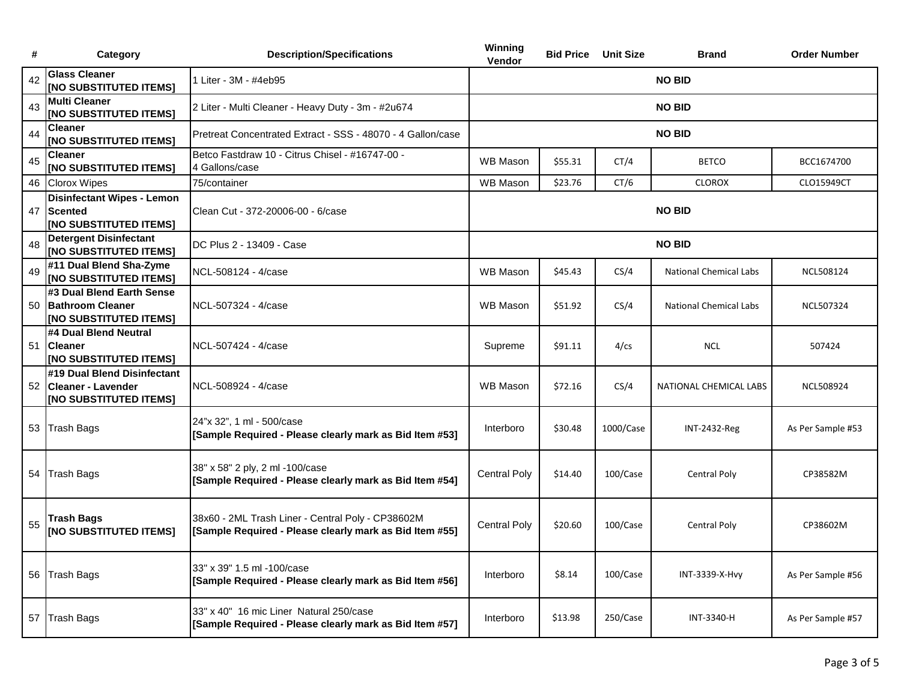| #  | Category                                                                          | <b>Description/Specifications</b>                                                                            | Winning<br>Vendor   | <b>Bid Price Unit Size</b> |           | <b>Brand</b>                  | <b>Order Number</b> |
|----|-----------------------------------------------------------------------------------|--------------------------------------------------------------------------------------------------------------|---------------------|----------------------------|-----------|-------------------------------|---------------------|
| 42 | <b>Glass Cleaner</b><br>[NO SUBSTITUTED ITEMS]                                    | 1 Liter - 3M - #4eb95                                                                                        |                     |                            |           | <b>NO BID</b>                 |                     |
| 43 | <b>Multi Cleaner</b><br>[NO SUBSTITUTED ITEMS]                                    | 2 Liter - Multi Cleaner - Heavy Duty - 3m - #2u674                                                           |                     |                            |           | <b>NO BID</b>                 |                     |
| 44 | <b>Cleaner</b><br><b>[NO SUBSTITUTED ITEMS]</b>                                   | Pretreat Concentrated Extract - SSS - 48070 - 4 Gallon/case                                                  |                     |                            |           | <b>NO BID</b>                 |                     |
| 45 | <b>Cleaner</b><br>[NO SUBSTITUTED ITEMS]                                          | Betco Fastdraw 10 - Citrus Chisel - #16747-00 -<br>4 Gallons/case                                            | <b>WB Mason</b>     | \$55.31                    | CT/4      | <b>BETCO</b>                  | BCC1674700          |
| 46 | <b>Clorox Wipes</b>                                                               | 75/container                                                                                                 | <b>WB Mason</b>     | \$23.76                    | CT/6      | <b>CLOROX</b>                 | CLO15949CT          |
|    | <b>Disinfectant Wipes - Lemon</b><br>47 Scented<br><b>[NO SUBSTITUTED ITEMS]</b>  | Clean Cut - 372-20006-00 - 6/case                                                                            | <b>NO BID</b>       |                            |           |                               |                     |
| 48 | <b>Detergent Disinfectant</b><br><b>[NO SUBSTITUTED ITEMS]</b>                    | DC Plus 2 - 13409 - Case                                                                                     |                     |                            |           | <b>NO BID</b>                 |                     |
| 49 | #11 Dual Blend Sha-Zyme<br><b>[NO SUBSTITUTED ITEMS]</b>                          | NCL-508124 - 4/case                                                                                          | <b>WB Mason</b>     | \$45.43                    | CS/4      | <b>National Chemical Labs</b> | NCL508124           |
|    | #3 Dual Blend Earth Sense<br>50 Bathroom Cleaner<br><b>INO SUBSTITUTED ITEMS!</b> | NCL-507324 - 4/case                                                                                          | <b>WB Mason</b>     | \$51.92                    | CS/4      | <b>National Chemical Labs</b> | <b>NCL507324</b>    |
|    | #4 Dual Blend Neutral<br>51 Cleaner<br>[NO SUBSTITUTED ITEMS]                     | NCL-507424 - 4/case                                                                                          | Supreme             | \$91.11                    | 4/cs      | <b>NCL</b>                    | 507424              |
|    | #19 Dual Blend Disinfectant<br>52 Cleaner - Lavender<br>[NO SUBSTITUTED ITEMS]    | NCL-508924 - 4/case                                                                                          | <b>WB Mason</b>     | \$72.16                    | CS/4      | NATIONAL CHEMICAL LABS        | <b>NCL508924</b>    |
|    | 53 Trash Bags                                                                     | 24"x 32", 1 ml - 500/case<br>[Sample Required - Please clearly mark as Bid Item #53]                         | Interboro           | \$30.48                    | 1000/Case | <b>INT-2432-Reg</b>           | As Per Sample #53   |
|    | 54 Trash Bags                                                                     | 38" x 58" 2 ply, 2 ml -100/case<br>[Sample Required - Please clearly mark as Bid Item #54]                   | <b>Central Poly</b> | \$14.40                    | 100/Case  | <b>Central Poly</b>           | CP38582M            |
| 55 | Trash Bags<br><b>[NO SUBSTITUTED ITEMS]</b>                                       | 38x60 - 2ML Trash Liner - Central Poly - CP38602M<br>[Sample Required - Please clearly mark as Bid Item #55] | <b>Central Poly</b> | \$20.60                    | 100/Case  | <b>Central Poly</b>           | CP38602M            |
|    | 56 Trash Bags                                                                     | 33" x 39" 1.5 ml -100/case<br>[Sample Required - Please clearly mark as Bid Item #56]                        | Interboro           | \$8.14                     | 100/Case  | INT-3339-X-Hvy                | As Per Sample #56   |
|    | 57 Trash Bags                                                                     | 33" x 40" 16 mic Liner Natural 250/case<br>[Sample Required - Please clearly mark as Bid Item #57]           | Interboro           | \$13.98                    | 250/Case  | INT-3340-H                    | As Per Sample #57   |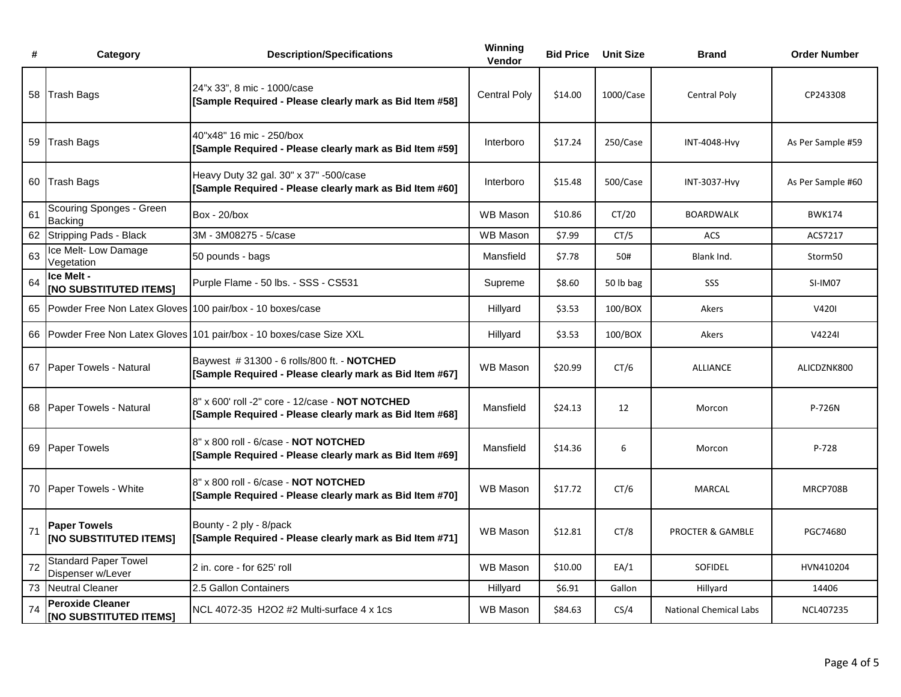| #  | Category                                                 | <b>Description/Specifications</b>                                                                          | Winning<br>Vendor   | <b>Bid Price</b> | <b>Unit Size</b> | <b>Brand</b>                  | <b>Order Number</b> |
|----|----------------------------------------------------------|------------------------------------------------------------------------------------------------------------|---------------------|------------------|------------------|-------------------------------|---------------------|
| 58 | <b>Trash Bags</b>                                        | 24"x 33", 8 mic - 1000/case<br>[Sample Required - Please clearly mark as Bid Item #58]                     | <b>Central Poly</b> | \$14.00          | 1000/Case        | <b>Central Poly</b>           | CP243308            |
| 59 | <b>Trash Bags</b>                                        | 40"x48" 16 mic - 250/box<br>[Sample Required - Please clearly mark as Bid Item #59]                        | Interboro           | \$17.24          | 250/Case         | INT-4048-Hvy                  | As Per Sample #59   |
| 60 | <b>Trash Bags</b>                                        | Heavy Duty 32 gal. 30" x 37" -500/case<br>[Sample Required - Please clearly mark as Bid Item #60]          | Interboro           | \$15.48          | 500/Case         | <b>INT-3037-Hvy</b>           | As Per Sample #60   |
| 61 | Scouring Sponges - Green<br>Backing                      | Box - 20/box                                                                                               | <b>WB Mason</b>     | \$10.86          | CT/20            | <b>BOARDWALK</b>              | <b>BWK174</b>       |
| 62 | <b>Stripping Pads - Black</b>                            | 3M - 3M08275 - 5/case                                                                                      | <b>WB Mason</b>     | \$7.99           | CT/5             | ACS                           | ACS7217             |
| 63 | Ice Melt- Low Damage<br>Vegetation                       | 50 pounds - bags                                                                                           | Mansfield           | \$7.78           | 50#              | Blank Ind.                    | Storm50             |
| 64 | Ice Melt -<br>[NO SUBSTITUTED ITEMS]                     | Purple Flame - 50 lbs. - SSS - CS531                                                                       | Supreme             | \$8.60           | 50 lb bag        | SSS                           | SI-IM07             |
| 65 | Powder Free Non Latex Gloves                             | 100 pair/box - 10 boxes/case                                                                               | Hillyard            | \$3.53           | 100/BOX          | Akers                         | V4201               |
| 66 | Powder Free Non Latex Gloves                             | 101 pair/box - 10 boxes/case Size XXL                                                                      | Hillyard            | \$3.53           | 100/BOX          | Akers                         | V4224I              |
|    | 67 Paper Towels - Natural                                | Baywest #31300 - 6 rolls/800 ft. - NOTCHED<br>[Sample Required - Please clearly mark as Bid Item #67]      | <b>WB Mason</b>     | \$20.99          | CT/6             | <b>ALLIANCE</b>               | ALICDZNK800         |
|    | 68 Paper Towels - Natural                                | 8" x 600' roll -2" core - 12/case - NOT NOTCHED<br>[Sample Required - Please clearly mark as Bid Item #68] | Mansfield           | \$24.13          | 12               | Morcon                        | P-726N              |
|    | 69 Paper Towels                                          | 8" x 800 roll - 6/case - NOT NOTCHED<br>[Sample Required - Please clearly mark as Bid Item #69]            | Mansfield           | \$14.36          | 6                | Morcon                        | P-728               |
|    | 70 Paper Towels - White                                  | 8" x 800 roll - 6/case - NOT NOTCHED<br>[Sample Required - Please clearly mark as Bid Item #70]            | <b>WB Mason</b>     | \$17.72          | CT/6             | <b>MARCAL</b>                 | MRCP708B            |
| 71 | <b>Paper Towels</b><br><b>[NO SUBSTITUTED ITEMS]</b>     | Bounty - 2 ply - 8/pack<br>[Sample Required - Please clearly mark as Bid Item #71]                         | <b>WB Mason</b>     | \$12.81          | CT/8             | PROCTER & GAMBLE              | PGC74680            |
| 72 | <b>Standard Paper Towel</b><br>Dispenser w/Lever         | 2 in. core - for 625' roll                                                                                 | <b>WB Mason</b>     | \$10.00          | EA/1             | SOFIDEL                       | HVN410204           |
| 73 | <b>Neutral Cleaner</b>                                   | 2.5 Gallon Containers                                                                                      | Hillyard            | \$6.91           | Gallon           | Hillyard                      | 14406               |
| 74 | <b>Peroxide Cleaner</b><br><b>[NO SUBSTITUTED ITEMS]</b> | NCL 4072-35 H2O2 #2 Multi-surface 4 x 1cs                                                                  | WB Mason            | \$84.63          | CS/4             | <b>National Chemical Labs</b> | NCL407235           |